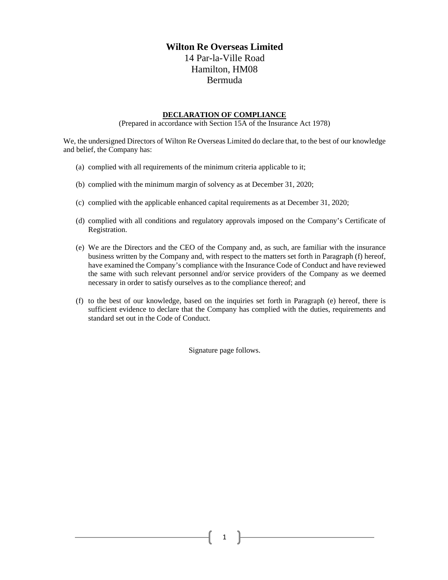## **Wilton Re Overseas Limited** 14 Par-la-Ville Road Hamilton, HM08 Bermuda

## **DECLARATION OF COMPLIANCE**

(Prepared in accordance with Section 15A of the Insurance Act 1978)

We, the undersigned Directors of Wilton Re Overseas Limited do declare that, to the best of our knowledge and belief, the Company has:

- (a) complied with all requirements of the minimum criteria applicable to it;
- (b) complied with the minimum margin of solvency as at December 31, 2020;
- (c) complied with the applicable enhanced capital requirements as at December 31, 2020;
- (d) complied with all conditions and regulatory approvals imposed on the Company's Certificate of Registration.
- (e) We are the Directors and the CEO of the Company and, as such, are familiar with the insurance business written by the Company and, with respect to the matters set forth in Paragraph (f) hereof, have examined the Company's compliance with the Insurance Code of Conduct and have reviewed the same with such relevant personnel and/or service providers of the Company as we deemed necessary in order to satisfy ourselves as to the compliance thereof; and
- (f) to the best of our knowledge, based on the inquiries set forth in Paragraph (e) hereof, there is sufficient evidence to declare that the Company has complied with the duties, requirements and standard set out in the Code of Conduct.

Signature page follows.

1